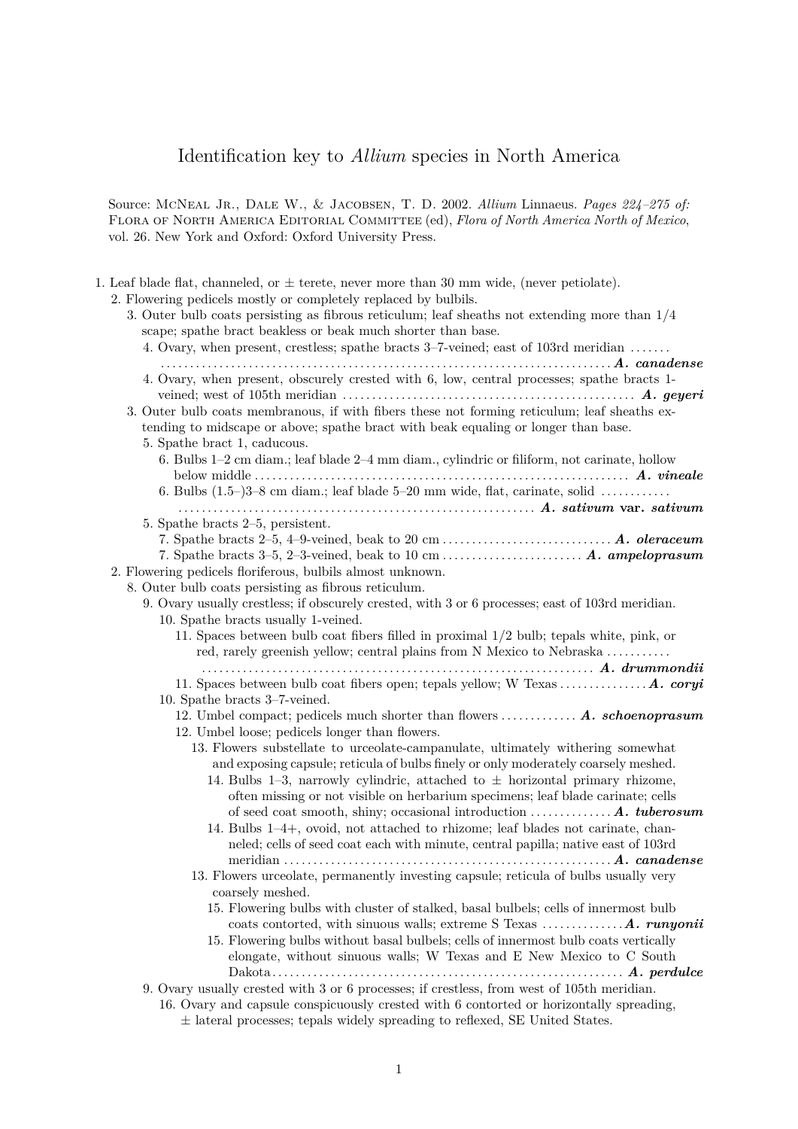Source: McNeal Jr., Dale W., & Jacobsen, T. D. 2002. *Allium* Linnaeus. *Pages 224–275 of:* Flora of North America Editorial Committee (ed), *Flora of North America North of Mexico*, vol. 26. New York and Oxford: Oxford University Press.

<span id="page-0-7"></span><span id="page-0-6"></span><span id="page-0-5"></span><span id="page-0-4"></span><span id="page-0-3"></span><span id="page-0-2"></span><span id="page-0-1"></span><span id="page-0-0"></span>

| 1. Leaf blade flat, channeled, or $\pm$ terete, never more than 30 mm wide, (never petiolate).<br>2. Flowering pedicels mostly or completely replaced by bulbils. |
|-------------------------------------------------------------------------------------------------------------------------------------------------------------------|
| 3. Outer bulb coats persisting as fibrous reticulum; leaf sheaths not extending more than $1/4$                                                                   |
| scape; spathe bract beakless or beak much shorter than base.                                                                                                      |
| 4. Ovary, when present, crestless; spathe bracts 3–7-veined; east of 103rd meridian                                                                               |
|                                                                                                                                                                   |
| 4. Ovary, when present, obscurely crested with 6, low, central processes; spathe bracts 1-                                                                        |
|                                                                                                                                                                   |
|                                                                                                                                                                   |
| 3. Outer bulb coats membranous, if with fibers these not forming reticulum; leaf sheaths ex-                                                                      |
| tending to midscape or above; spathe bract with beak equaling or longer than base.                                                                                |
| 5. Spathe bract 1, caducous.                                                                                                                                      |
| 6. Bulbs 1–2 cm diam.; leaf blade 2–4 mm diam., cylindric or filiform, not carinate, hollow                                                                       |
|                                                                                                                                                                   |
| 6. Bulbs $(1.5-)3-8$ cm diam.; leaf blade $5-20$ mm wide, flat, carinate, solid                                                                                   |
|                                                                                                                                                                   |
| 5. Spathe bracts 2–5, persistent.                                                                                                                                 |
|                                                                                                                                                                   |
| 7. Spathe bracts 3-5, 2-3-veined, beak to 10 cm  A. ampeloprasum                                                                                                  |
| 2. Flowering pedicels floriferous, bulbils almost unknown.                                                                                                        |
| 8. Outer bulb coats persisting as fibrous reticulum.                                                                                                              |
| 9. Ovary usually crestless; if obscurely crested, with 3 or 6 processes; east of 103rd meridian.                                                                  |
| 10. Spathe bracts usually 1-veined.                                                                                                                               |
| 11. Spaces between bulb coat fibers filled in proximal $1/2$ bulb; tepals white, pink, or                                                                         |
| red, rarely greenish yellow; central plains from N Mexico to Nebraska                                                                                             |
|                                                                                                                                                                   |
|                                                                                                                                                                   |
| 10. Spathe bracts 3-7-veined.                                                                                                                                     |
| 12. Umbel compact; pedicels much shorter than flowers  A. schoenoprasum                                                                                           |
| 12. Umbel loose; pedicels longer than flowers.                                                                                                                    |
| 13. Flowers substellate to urceolate-campanulate, ultimately withering somewhat                                                                                   |
| and exposing capsule; reticula of bulbs finely or only moderately coarsely meshed.                                                                                |
| 14. Bulbs 1-3, narrowly cylindric, attached to $\pm$ horizontal primary rhizome,                                                                                  |
| often missing or not visible on herbarium specimens; leaf blade carinate; cells                                                                                   |
| of seed coat smooth, shiny; occasional introduction $\dots \dots \dots \dots A$ . tuberosum                                                                       |
| 14. Bulbs 1-4+, ovoid, not attached to rhizome; leaf blades not carinate, chan-                                                                                   |
| neled; cells of seed coat each with minute, central papilla; native east of 103rd                                                                                 |
|                                                                                                                                                                   |
| 13. Flowers urceolate, permanently investing capsule; reticula of bulbs usually very                                                                              |
| coarsely meshed.                                                                                                                                                  |
| 15. Flowering bulbs with cluster of stalked, basal bulbels; cells of innermost bulb                                                                               |
|                                                                                                                                                                   |
| 15. Flowering bulbs without basal bulbels; cells of innermost bulb coats vertically                                                                               |
| elongate, without sinuous walls; W Texas and E New Mexico to C South                                                                                              |
|                                                                                                                                                                   |
| 9. Ovary usually crested with 3 or 6 processes; if crestless, from west of 105th meridian.                                                                        |
| 16. Ovary and capsule conspicuously crested with 6 contorted or horizontally spreading,                                                                           |

<span id="page-0-15"></span><span id="page-0-14"></span><span id="page-0-13"></span><span id="page-0-12"></span><span id="page-0-11"></span><span id="page-0-10"></span><span id="page-0-9"></span><span id="page-0-8"></span>± lateral processes; tepals widely spreading to reflexed, SE United States.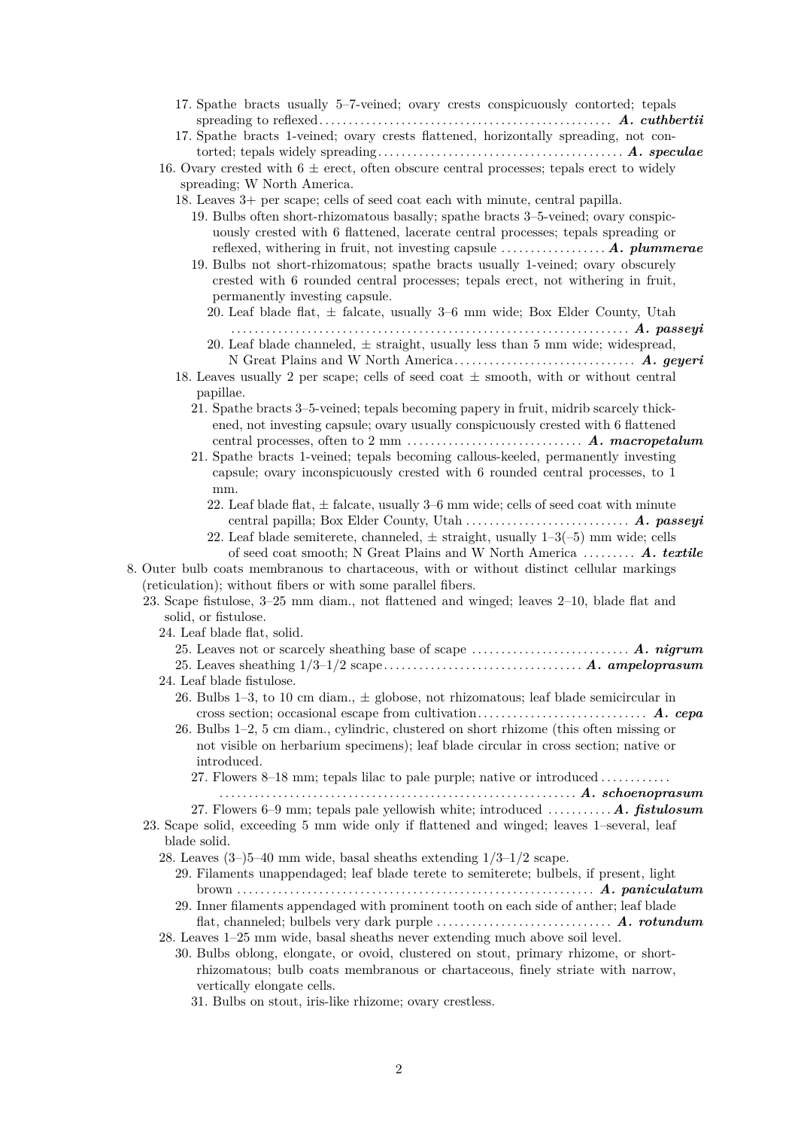<span id="page-1-21"></span><span id="page-1-20"></span><span id="page-1-19"></span><span id="page-1-18"></span><span id="page-1-17"></span><span id="page-1-16"></span><span id="page-1-15"></span><span id="page-1-14"></span><span id="page-1-13"></span><span id="page-1-12"></span><span id="page-1-11"></span><span id="page-1-10"></span><span id="page-1-9"></span><span id="page-1-8"></span><span id="page-1-7"></span><span id="page-1-6"></span><span id="page-1-5"></span><span id="page-1-4"></span><span id="page-1-3"></span><span id="page-1-2"></span><span id="page-1-1"></span><span id="page-1-0"></span>

| 17. Spathe bracts usually 5-7-veined; ovary crests conspicuously contorted; tepals<br>17. Spathe bracts 1-veined; ovary crests flattened, horizontally spreading, not con-        |
|-----------------------------------------------------------------------------------------------------------------------------------------------------------------------------------|
| 16. Ovary crested with $6 \pm$ erect, often obscure central processes; tepals erect to widely                                                                                     |
| spreading; W North America.                                                                                                                                                       |
| 18. Leaves 3+ per scape; cells of seed coat each with minute, central papilla.                                                                                                    |
| 19. Bulbs often short-rhizomatous basally; spathe bracts 3–5-veined; ovary conspic-                                                                                               |
| uously crested with 6 flattened, lacerate central processes; tepals spreading or<br>reflexed, withering in fruit, not investing capsule $\dots\dots\dots\dots\dots A$ . plummerae |
| 19. Bulbs not short-rhizomatous; spathe bracts usually 1-veined; ovary obscurely                                                                                                  |
| crested with 6 rounded central processes; tepals erect, not withering in fruit,<br>permanently investing capsule.                                                                 |
| 20. Leaf blade flat, $\pm$ falcate, usually 3–6 mm wide; Box Elder County, Utah                                                                                                   |
| 20. Leaf blade channeled, $\pm$ straight, usually less than 5 mm wide; widespread,                                                                                                |
| 18. Leaves usually 2 per scape; cells of seed coat $\pm$ smooth, with or without central                                                                                          |
| papillae.                                                                                                                                                                         |
| 21. Spathe bracts 3–5-veined; tepals becoming papery in fruit, midrib scarcely thick-<br>ened, not investing capsule; ovary usually conspicuously crested with 6 flattened        |
| 21. Spathe bracts 1-veined; tepals becoming callous-keeled, permanently investing                                                                                                 |
| capsule; ovary inconspicuously crested with 6 rounded central processes, to 1                                                                                                     |
| mm.                                                                                                                                                                               |
| 22. Leaf blade flat, $\pm$ falcate, usually 3–6 mm wide; cells of seed coat with minute                                                                                           |
| 22. Leaf blade semiterete, channeled, $\pm$ straight, usually 1-3(-5) mm wide; cells                                                                                              |
| of seed coat smooth; N Great Plains and W North America $\boldsymbol{\Lambda}$ . textile                                                                                          |
| 8. Outer bulb coats membranous to chartaceous, with or without distinct cellular markings                                                                                         |
| (reticulation); without fibers or with some parallel fibers.                                                                                                                      |
| 23. Scape fistulose, 3–25 mm diam., not flattened and winged; leaves 2–10, blade flat and                                                                                         |
| solid, or fistulose.                                                                                                                                                              |
| 24. Leaf blade flat, solid.                                                                                                                                                       |
|                                                                                                                                                                                   |
| 24. Leaf blade fistulose.                                                                                                                                                         |
| 26. Bulbs 1-3, to 10 cm diam., $\pm$ globose, not rhizomatous; leaf blade semicircular in                                                                                         |
|                                                                                                                                                                                   |
| 26. Bulbs 1-2, 5 cm diam., cylindric, clustered on short rhizome (this often missing or                                                                                           |
| not visible on herbarium specimens); leaf blade circular in cross section; native or                                                                                              |
| introduced.                                                                                                                                                                       |
| 27. Flowers 8–18 mm; tepals lilac to pale purple; native or introduced                                                                                                            |
| 27. Flowers 6–9 mm; tepals pale yellowish white; introduced  A. fistulosum                                                                                                        |
| 23. Scape solid, exceeding 5 mm wide only if flattened and winged; leaves 1-several, leaf                                                                                         |
| blade solid.                                                                                                                                                                      |
| 28. Leaves $(3-)5-40$ mm wide, basal sheaths extending $1/3-1/2$ scape.                                                                                                           |
| 29. Filaments unappendaged; leaf blade terete to semiterete; bulbels, if present, light                                                                                           |
|                                                                                                                                                                                   |
| 29. Inner filaments appendaged with prominent tooth on each side of anther; leaf blade                                                                                            |
| 28. Leaves 1-25 mm wide, basal sheaths never extending much above soil level.                                                                                                     |
| 30. Bulbs oblong, elongate, or ovoid, clustered on stout, primary rhizome, or short-                                                                                              |
| rhizomatous; bulb coats membranous or chartaceous, finely striate with narrow,                                                                                                    |
| vertically elongate cells.                                                                                                                                                        |
| 31. Bulbs on stout, iris-like rhizome; ovary crestless.                                                                                                                           |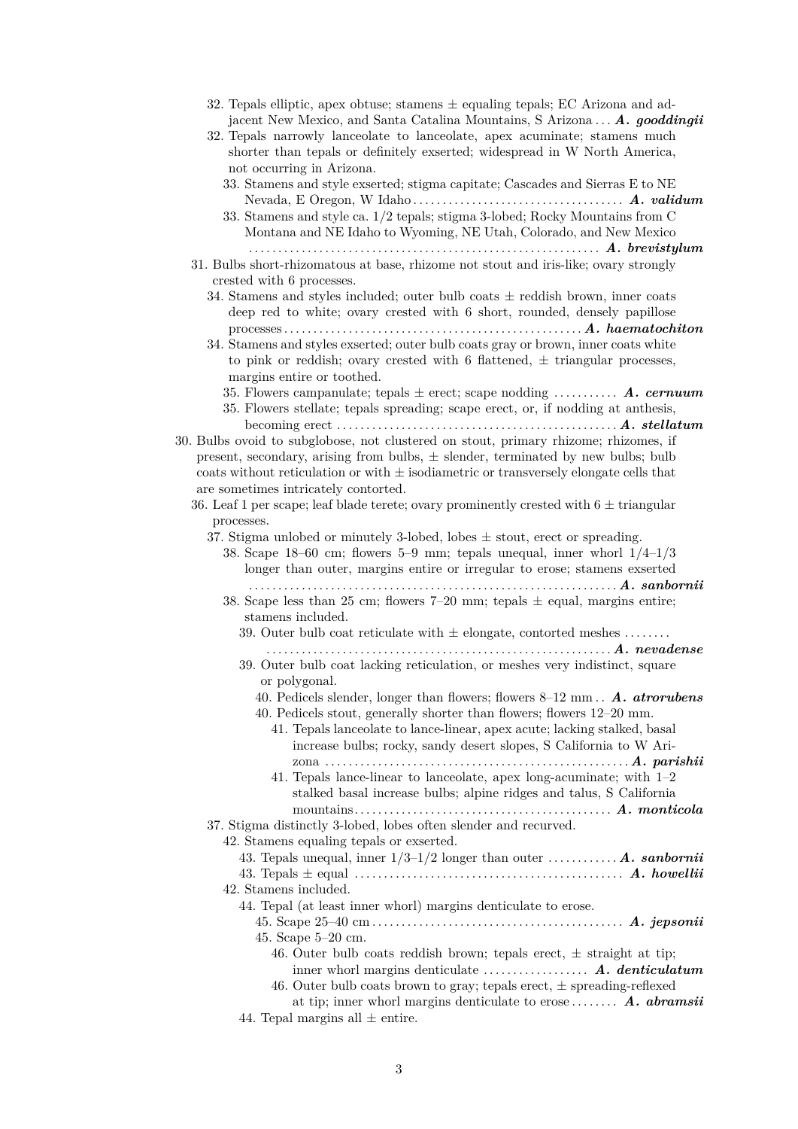<span id="page-2-20"></span><span id="page-2-19"></span><span id="page-2-18"></span><span id="page-2-17"></span><span id="page-2-16"></span><span id="page-2-15"></span><span id="page-2-14"></span><span id="page-2-13"></span><span id="page-2-12"></span><span id="page-2-11"></span><span id="page-2-10"></span><span id="page-2-9"></span><span id="page-2-8"></span><span id="page-2-7"></span><span id="page-2-6"></span><span id="page-2-5"></span><span id="page-2-4"></span><span id="page-2-3"></span><span id="page-2-2"></span><span id="page-2-1"></span><span id="page-2-0"></span>

| 32. Tepals elliptic, apex obtuse; stamens $\pm$ equaling tepals; EC Arizona and ad-<br>jacent New Mexico, and Santa Catalina Mountains, S Arizona A. gooddingii<br>32. Tepals narrowly lanceolate to lanceolate, apex acuminate; stamens much<br>shorter than tepals or definitely exserted; widespread in W North America,<br>not occurring in Arizona.                                                                     |
|------------------------------------------------------------------------------------------------------------------------------------------------------------------------------------------------------------------------------------------------------------------------------------------------------------------------------------------------------------------------------------------------------------------------------|
| 33. Stamens and style exserted; stigma capitate; Cascades and Sierras E to NE<br>33. Stamens and style ca. 1/2 tepals; stigma 3-lobed; Rocky Mountains from C<br>Montana and NE Idaho to Wyoming, NE Utah, Colorado, and New Mexico                                                                                                                                                                                          |
| 31. Bulbs short-rhizomatous at base, rhizome not stout and iris-like; ovary strongly<br>crested with 6 processes.                                                                                                                                                                                                                                                                                                            |
| 34. Stamens and styles included; outer bulb coats $\pm$ reddish brown, inner coats<br>deep red to white; ovary crested with 6 short, rounded, densely papillose                                                                                                                                                                                                                                                              |
| 34. Stamens and styles exserted; outer bulb coats gray or brown, inner coats white<br>to pink or reddish; ovary crested with 6 flattened, $\pm$ triangular processes,<br>margins entire or toothed.                                                                                                                                                                                                                          |
| 35. Flowers campanulate; tepals $\pm$ erect; scape nodding  A. cernum<br>35. Flowers stellate; tepals spreading; scape erect, or, if nodding at anthesis,                                                                                                                                                                                                                                                                    |
| becoming erect $\dots \dots \dots \dots \dots \dots \dots \dots \dots \dots \dots \dots$ . A. stellatum<br>30. Bulbs ovoid to subglobose, not clustered on stout, primary rhizome; rhizomes, if<br>present, secondary, arising from bulbs, $\pm$ slender, terminated by new bulbs; bulb<br>coats without reticulation or with $\pm$ isodiametric or transversely elongate cells that<br>are sometimes intricately contorted. |
| 36. Leaf 1 per scape; leaf blade terete; ovary prominently crested with $6 \pm$ triangular<br>processes.                                                                                                                                                                                                                                                                                                                     |
| 37. Stigma unlobed or minutely 3-lobed, lobes $\pm$ stout, erect or spreading.<br>38. Scape 18-60 cm; flowers 5-9 mm; tepals unequal, inner whorl $1/4$ - $1/3$<br>longer than outer, margins entire or irregular to erose; stamens exserted                                                                                                                                                                                 |
| $\ldots \ldots \ldots \ldots \ldots A. \; \; \mathit{sanbornii}$<br>.<br>38. Scape less than 25 cm; flowers 7-20 mm; tepals $\pm$ equal, margins entire;<br>stamens included.                                                                                                                                                                                                                                                |
| 39. Outer bulb coat reticulate with $\pm$ elongate, contorted meshes                                                                                                                                                                                                                                                                                                                                                         |
| 39. Outer bulb coat lacking reticulation, or meshes very indistinct, square<br>or polygonal.                                                                                                                                                                                                                                                                                                                                 |
| 40. Pedicels slender, longer than flowers; flowers 8-12 mm. A. atrorubens<br>40. Pedicels stout, generally shorter than flowers; flowers 12–20 mm.<br>41. Tepals lanceolate to lance-linear, apex acute; lacking stalked, basal<br>increase bulbs; rocky, sandy desert slopes, S California to W Ari-                                                                                                                        |
| 41. Tepals lance-linear to lanceolate, apex long-acuminate; with $1-2$<br>stalked basal increase bulbs; alpine ridges and talus, S California<br>37. Stigma distinctly 3-lobed, lobes often slender and recurved.                                                                                                                                                                                                            |
| 42. Stamens equaling tepals or exserted.<br>43. Tepals unequal, inner $1/3-1/2$ longer than outer  A. sanbornii                                                                                                                                                                                                                                                                                                              |
| 42. Stamens included.                                                                                                                                                                                                                                                                                                                                                                                                        |
| 44. Tepal (at least inner whorl) margins denticulate to erose.                                                                                                                                                                                                                                                                                                                                                               |
| 45. Scape $5-20$ cm.<br>46. Outer bulb coats reddish brown; tepals erect, $\pm$ straight at tip;                                                                                                                                                                                                                                                                                                                             |
| inner whorl margins denticulate $\dots \dots \dots \dots$ $A.$ denticulatum<br>46. Outer bulb coats brown to gray; tepals erect, $\pm$ spreading-reflexed                                                                                                                                                                                                                                                                    |
| at tip; inner whorl margins denticulate to erose A. abramsii<br>44. Tepal margins all $\pm$ entire.                                                                                                                                                                                                                                                                                                                          |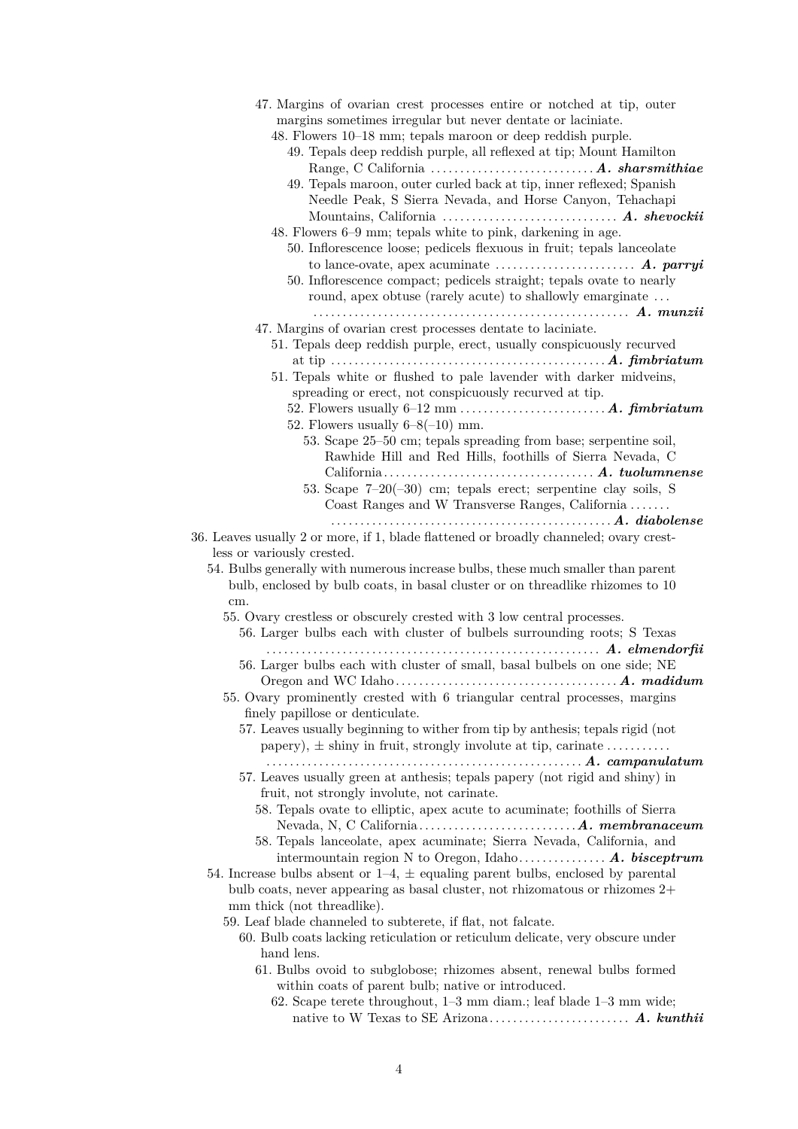<span id="page-3-16"></span><span id="page-3-15"></span><span id="page-3-14"></span><span id="page-3-13"></span><span id="page-3-12"></span><span id="page-3-11"></span><span id="page-3-10"></span><span id="page-3-9"></span><span id="page-3-8"></span><span id="page-3-7"></span><span id="page-3-6"></span><span id="page-3-5"></span><span id="page-3-4"></span><span id="page-3-3"></span><span id="page-3-2"></span><span id="page-3-1"></span><span id="page-3-0"></span>

| 47. Margins of ovarian crest processes entire or notched at tip, outer<br>margins sometimes irregular but never dentate or laciniate.<br>48. Flowers 10-18 mm; tepals maroon or deep reddish purple. |
|------------------------------------------------------------------------------------------------------------------------------------------------------------------------------------------------------|
| 49. Tepals deep reddish purple, all reflexed at tip; Mount Hamilton                                                                                                                                  |
|                                                                                                                                                                                                      |
| 49. Tepals maroon, outer curled back at tip, inner reflexed; Spanish<br>Needle Peak, S Sierra Nevada, and Horse Canyon, Tehachapi                                                                    |
| 48. Flowers 6–9 mm; tepals white to pink, darkening in age.                                                                                                                                          |
| 50. Inflorescence loose; pedicels flexuous in fruit; tepals lanceolate                                                                                                                               |
|                                                                                                                                                                                                      |
| 50. Inflorescence compact; pedicels straight; tepals ovate to nearly<br>round, apex obtuse (rarely acute) to shallowly emarginate                                                                    |
|                                                                                                                                                                                                      |
| 47. Margins of ovarian crest processes dentate to laciniate.                                                                                                                                         |
| 51. Tepals deep reddish purple, erect, usually conspicuously recurved                                                                                                                                |
| 51. Tepals white or flushed to pale lavender with darker midveins,                                                                                                                                   |
| spreading or erect, not conspicuously recurved at tip.                                                                                                                                               |
| 52. Flowers usually $6-8(-10)$ mm.                                                                                                                                                                   |
| 53. Scape 25–50 cm; tepals spreading from base; serpentine soil,                                                                                                                                     |
| Rawhide Hill and Red Hills, foothills of Sierra Nevada, C                                                                                                                                            |
|                                                                                                                                                                                                      |
| 53. Scape $7-20(-30)$ cm; tepals erect; serpentine clay soils, S                                                                                                                                     |
| Coast Ranges and W Transverse Ranges, California                                                                                                                                                     |
|                                                                                                                                                                                                      |
| 36. Leaves usually 2 or more, if 1, blade flattened or broadly channeled; ovary crest-<br>less or variously crested.                                                                                 |
| 54. Bulbs generally with numerous increase bulbs, these much smaller than parent                                                                                                                     |
| bulb, enclosed by bulb coats, in basal cluster or on threadlike rhizomes to 10                                                                                                                       |
| cm.                                                                                                                                                                                                  |
| 55. Ovary crestless or obscurely crested with 3 low central processes.                                                                                                                               |
| 56. Larger bulbs each with cluster of bulbels surrounding roots; S Texas<br>56. Larger bulbs each with cluster of small, basal bulbels on one side; NE                                               |
|                                                                                                                                                                                                      |
| 55. Ovary prominently crested with 6 triangular central processes, margins                                                                                                                           |
| finely papillose or denticulate.                                                                                                                                                                     |
| 57. Leaves usually beginning to wither from tip by anthesis; tepals rigid (not<br>papery), $\pm$ shiny in fruit, strongly involute at tip, carinate                                                  |
|                                                                                                                                                                                                      |
| 57. Leaves usually green at anthesis; tepals papery (not rigid and shiny) in                                                                                                                         |
| fruit, not strongly involute, not carinate.                                                                                                                                                          |
| 58. Tepals ovate to elliptic, apex acute to acuminate; foothills of Sierra                                                                                                                           |
| 58. Tepals lanceolate, apex acuminate; Sierra Nevada, California, and                                                                                                                                |
|                                                                                                                                                                                                      |
| 54. Increase bulbs absent or $1-4$ , $\pm$ equaling parent bulbs, enclosed by parental                                                                                                               |
| bulb coats, never appearing as basal cluster, not rhizomatous or rhizomes 2+                                                                                                                         |
| mm thick (not threadlike).                                                                                                                                                                           |
| 59. Leaf blade channeled to subterete, if flat, not falcate.                                                                                                                                         |
| 60. Bulb coats lacking reticulation or reticulum delicate, very obscure under                                                                                                                        |
| hand lens.                                                                                                                                                                                           |
| 61. Bulbs ovoid to subglobose; rhizomes absent, renewal bulbs formed<br>within coats of parent bulb; native or introduced.                                                                           |
| 62. Scape terete throughout, $1-3$ mm diam.; leaf blade $1-3$ mm wide;                                                                                                                               |
|                                                                                                                                                                                                      |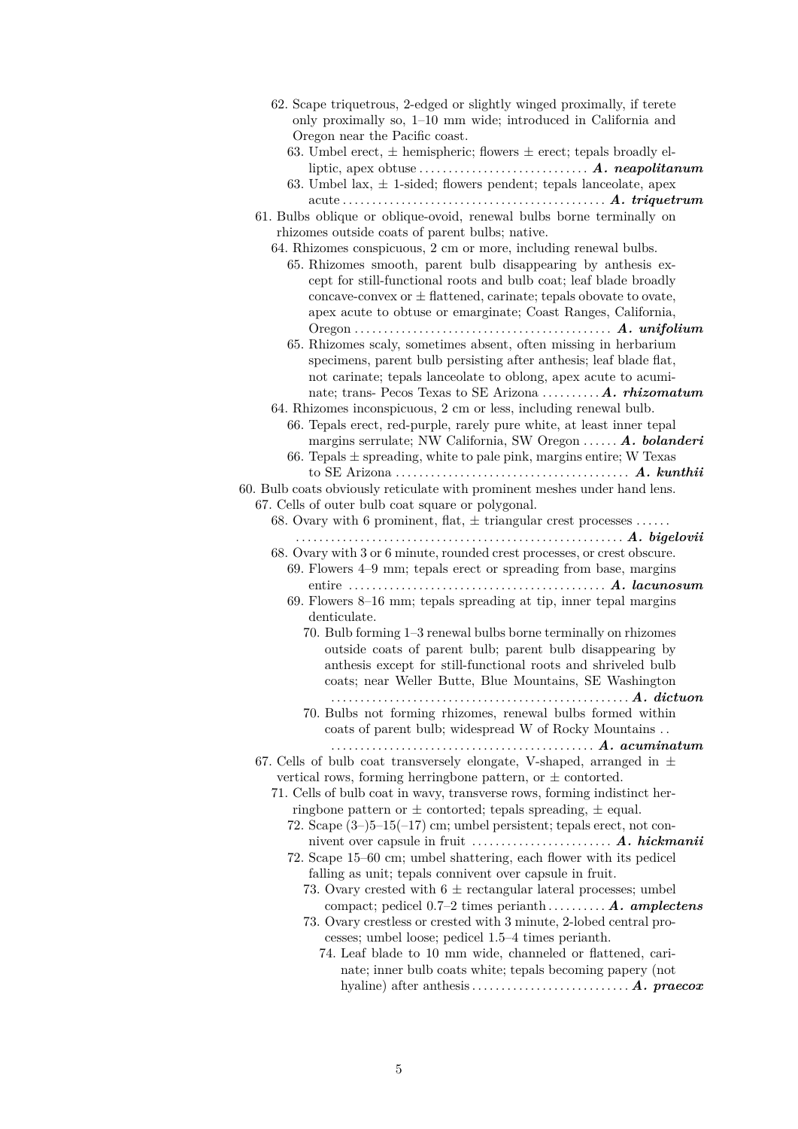<span id="page-4-15"></span><span id="page-4-14"></span><span id="page-4-13"></span><span id="page-4-12"></span><span id="page-4-11"></span><span id="page-4-10"></span><span id="page-4-9"></span><span id="page-4-8"></span><span id="page-4-7"></span><span id="page-4-6"></span><span id="page-4-5"></span><span id="page-4-4"></span><span id="page-4-3"></span><span id="page-4-2"></span><span id="page-4-1"></span><span id="page-4-0"></span>

| 62. Scape triquetrous, 2-edged or slightly winged proximally, if terete                                                                                               |
|-----------------------------------------------------------------------------------------------------------------------------------------------------------------------|
| only proximally so, 1-10 mm wide; introduced in California and                                                                                                        |
| Oregon near the Pacific coast.                                                                                                                                        |
| 63. Umbel erect, $\pm$ hemispheric; flowers $\pm$ erect; tepals broadly el-                                                                                           |
|                                                                                                                                                                       |
| 63. Umbel lax, $\pm$ 1-sided; flowers pendent; tepals lanceolate, apex                                                                                                |
| acuteum                                                                                                                                                               |
| 61. Bulbs oblique or oblique-ovoid, renewal bulbs borne terminally on                                                                                                 |
| rhizomes outside coats of parent bulbs; native.                                                                                                                       |
| 64. Rhizomes conspicuous, 2 cm or more, including renewal bulbs.                                                                                                      |
| 65. Rhizomes smooth, parent bulb disappearing by anthesis ex-                                                                                                         |
| cept for still-functional roots and bulb coat; leaf blade broadly                                                                                                     |
| concave-convex or $\pm$ flattened, carinate; tepals obovate to ovate,                                                                                                 |
| apex acute to obtuse or emarginate; Coast Ranges, California,                                                                                                         |
|                                                                                                                                                                       |
| 65. Rhizomes scaly, sometimes absent, often missing in herbarium                                                                                                      |
| specimens, parent bulb persisting after anthesis; leaf blade flat,                                                                                                    |
| not carinate; tepals lanceolate to oblong, apex acute to acumi-                                                                                                       |
| nate; trans- Pecos Texas to SE Arizona  A. rhizomatum                                                                                                                 |
| 64. Rhizomes inconspicuous, 2 cm or less, including renewal bulb.                                                                                                     |
| 66. Tepals erect, red-purple, rarely pure white, at least inner tepal                                                                                                 |
| margins serrulate; NW California, SW Oregon $\ldots \ldots A$ . bolanderi                                                                                             |
| 66. Tepals $\pm$ spreading, white to pale pink, margins entire; W Texas                                                                                               |
|                                                                                                                                                                       |
| 60. Bulb coats obviously reticulate with prominent meshes under hand lens.                                                                                            |
| 67. Cells of outer bulb coat square or polygonal.                                                                                                                     |
| 68. Ovary with 6 prominent, flat, $\pm$ triangular crest processes                                                                                                    |
|                                                                                                                                                                       |
| 68. Ovary with 3 or 6 minute, rounded crest processes, or crest obscure.                                                                                              |
| $69.$ Flowers $4-9$ mm; tepals erect or spreading from base, margins                                                                                                  |
|                                                                                                                                                                       |
| 69. Flowers $8-16$ mm; tepals spreading at tip, inner tepal margins                                                                                                   |
| denticulate.                                                                                                                                                          |
| 70. Bulb forming 1–3 renewal bulbs borne terminally on rhizomes                                                                                                       |
| outside coats of parent bulb; parent bulb disappearing by                                                                                                             |
| anthesis except for still-functional roots and shriveled bulb                                                                                                         |
| coats; near Weller Butte, Blue Mountains, SE Washington                                                                                                               |
| $\ldots$ $A.$ dictuon                                                                                                                                                 |
| 70. Bulbs not forming rhizomes, renewal bulbs formed within                                                                                                           |
| coats of parent bulb; widespread W of Rocky Mountains<br>$\ldots \ldots \ldots \ldots \ldots \ldots \ldots \ldots \ldots \ldots \ldots \ldots \ldots$ . A. acuminatum |
| 67. Cells of bulb coat transversely elongate, V-shaped, arranged in $\pm$                                                                                             |
| vertical rows, forming herringbone pattern, or $\pm$ contorted.                                                                                                       |
| 71. Cells of bulb coat in wavy, transverse rows, forming indistinct her-                                                                                              |
| ringbone pattern or $\pm$ contorted; tepals spreading, $\pm$ equal.                                                                                                   |
| 72. Scape $(3-)5-15(-17)$ cm; umbel persistent; tepals erect, not con-                                                                                                |
|                                                                                                                                                                       |
| 72. Scape 15–60 cm; umbel shattering, each flower with its pedicel                                                                                                    |
| falling as unit; tepals connivent over capsule in fruit.                                                                                                              |
| 73. Ovary crested with $6 \pm$ rectangular lateral processes; umbel                                                                                                   |
| compact; pedicel $0.7-2$ times perianth A. amplectens                                                                                                                 |
| 73. Ovary crestless or crested with 3 minute, 2-lobed central pro-                                                                                                    |
| cesses; umbel loose; pedicel 1.5–4 times perianth.                                                                                                                    |
| 74. Leaf blade to 10 mm wide, channeled or flattened, cari-                                                                                                           |
| nate; inner bulb coats white; tepals becoming papery (not                                                                                                             |
|                                                                                                                                                                       |
|                                                                                                                                                                       |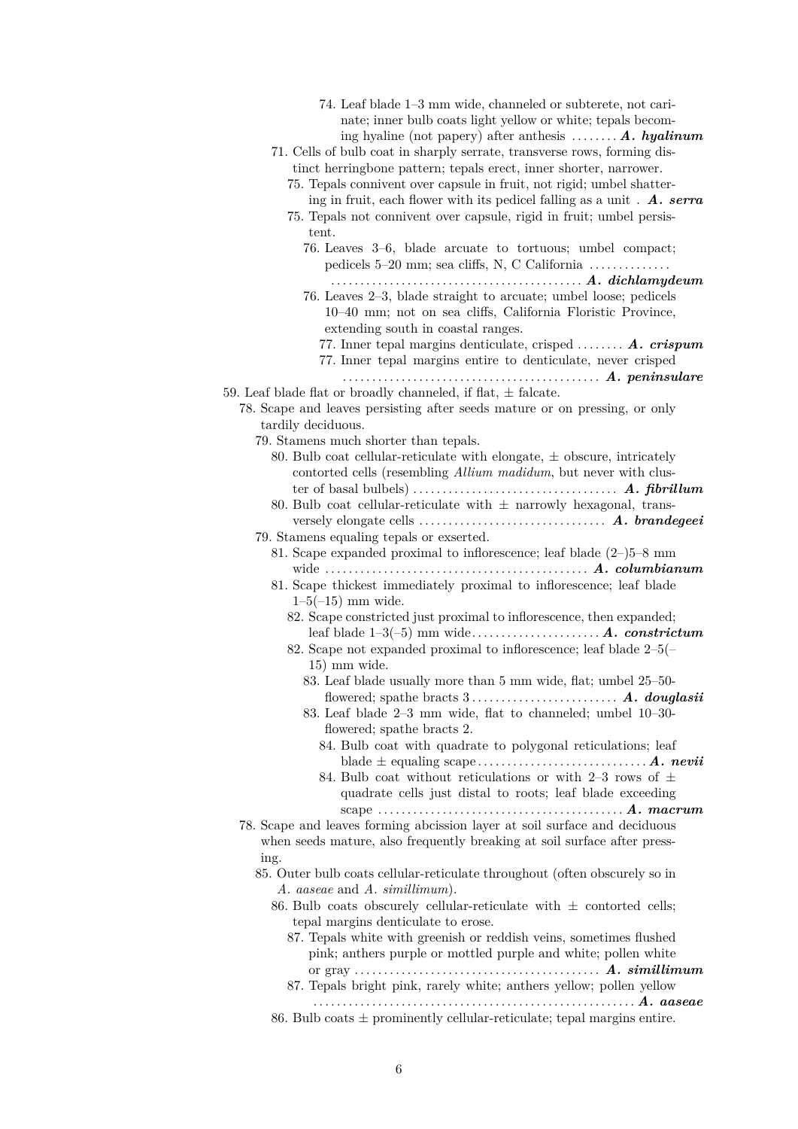<span id="page-5-18"></span><span id="page-5-17"></span><span id="page-5-16"></span><span id="page-5-15"></span><span id="page-5-14"></span><span id="page-5-13"></span><span id="page-5-12"></span><span id="page-5-11"></span><span id="page-5-10"></span><span id="page-5-9"></span><span id="page-5-8"></span><span id="page-5-7"></span><span id="page-5-6"></span><span id="page-5-5"></span><span id="page-5-4"></span><span id="page-5-3"></span><span id="page-5-2"></span><span id="page-5-1"></span><span id="page-5-0"></span>

| 74. Leaf blade 1–3 mm wide, channeled or subterete, not cari-<br>nate; inner bulb coats light yellow or white; tepals becom-<br>ing hyaline (not papery) after anthesis $\dots \dots A$ . hyalinum<br>71. Cells of bulb coat in sharply serrate, transverse rows, forming dis-<br>tinct herringbone pattern; tepals erect, inner shorter, narrower.<br>75. Tepals connivent over capsule in fruit, not rigid; umbel shatter-<br>ing in fruit, each flower with its pedicel falling as a unit. $\boldsymbol{A}$ . serral<br>75. Tepals not connivent over capsule, rigid in fruit; umbel persis- |  |
|-------------------------------------------------------------------------------------------------------------------------------------------------------------------------------------------------------------------------------------------------------------------------------------------------------------------------------------------------------------------------------------------------------------------------------------------------------------------------------------------------------------------------------------------------------------------------------------------------|--|
| tent.<br>76. Leaves 3–6, blade arcuate to tortuous; umbel compact;<br>pedicels $5-20$ mm; sea cliffs, N, C California $\ldots$<br>76. Leaves 2-3, blade straight to arcuate; umbel loose; pedicels<br>10–40 mm; not on sea cliffs, California Floristic Province,<br>extending south in coastal ranges.                                                                                                                                                                                                                                                                                         |  |
| 77. Inner tepal margins denticulate, crisped $\vec{A}$ . crispum<br>77. Inner tepal margins entire to denticulate, never crisped<br>59. Leaf blade flat or broadly channeled, if flat, $\pm$ falcate.                                                                                                                                                                                                                                                                                                                                                                                           |  |
| 78. Scape and leaves persisting after seeds mature or on pressing, or only<br>tardily deciduous.<br>79. Stamens much shorter than tepals.                                                                                                                                                                                                                                                                                                                                                                                                                                                       |  |
| 80. Bulb coat cellular-reticulate with elongate, $\pm$ obscure, intricately<br>contorted cells (resembling Allium madidum, but never with clus-<br>ter of basal bulbels) $\dots \dots \dots \dots \dots \dots \dots \dots \dots$ A. fibrillum<br>80. Bulb coat cellular-reticulate with $\pm$ narrowly hexagonal, trans-<br>79. Stamens equaling tepals or exserted.<br>81. Scape expanded proximal to inflorescence; leaf blade $(2-)5-8$ mm                                                                                                                                                   |  |
| 81. Scape thickest immediately proximal to inflorescence; leaf blade<br>$1-5(-15)$ mm wide.<br>82. Scape constricted just proximal to inflorescence, then expanded;<br>82. Scape not expanded proximal to inflorescence; leaf blade $2-5$ (                                                                                                                                                                                                                                                                                                                                                     |  |
| $15)$ mm wide.<br>83. Leaf blade usually more than 5 mm wide, flat; umbel 25-50-<br>83. Leaf blade 2-3 mm wide, flat to channeled; umbel 10-30-<br>flowered; spathe bracts 2.                                                                                                                                                                                                                                                                                                                                                                                                                   |  |
| 84. Bulb coat with quadrate to polygonal reticulations; leaf<br>84. Bulb coat without reticulations or with 2-3 rows of $\pm$<br>quadrate cells just distal to roots; leaf blade exceeding<br>78. Scape and leaves forming abcission layer at soil surface and deciduous<br>when seeds mature, also frequently breaking at soil surface after press-                                                                                                                                                                                                                                            |  |
| ing.<br>85. Outer bulb coats cellular-reticulate throughout (often obscurely so in<br>A. aaseae and A. simillimum).<br>86. Bulb coats obscurely cellular-reticulate with $\pm$ contorted cells;<br>tepal margins denticulate to erose.<br>87. Tepals white with greenish or reddish veins, sometimes flushed                                                                                                                                                                                                                                                                                    |  |
| pink; anthers purple or mottled purple and white; pollen white<br>87. Tepals bright pink, rarely white; anthers yellow; pollen yellow                                                                                                                                                                                                                                                                                                                                                                                                                                                           |  |
| 86. Bulb coats $\pm$ prominently cellular-reticulate; tepal margins entire.                                                                                                                                                                                                                                                                                                                                                                                                                                                                                                                     |  |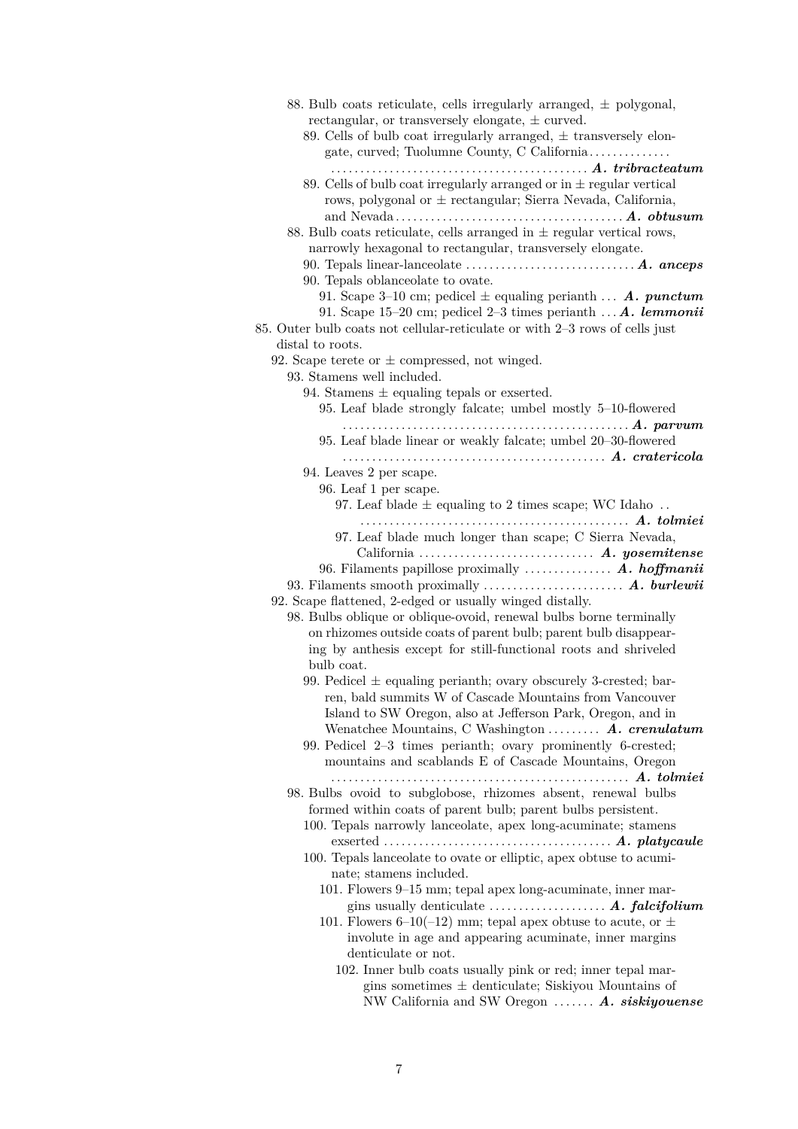<span id="page-6-19"></span><span id="page-6-18"></span><span id="page-6-17"></span><span id="page-6-16"></span><span id="page-6-15"></span><span id="page-6-14"></span><span id="page-6-13"></span><span id="page-6-12"></span><span id="page-6-11"></span><span id="page-6-10"></span><span id="page-6-9"></span><span id="page-6-8"></span><span id="page-6-7"></span><span id="page-6-6"></span><span id="page-6-5"></span><span id="page-6-4"></span><span id="page-6-3"></span><span id="page-6-2"></span><span id="page-6-1"></span><span id="page-6-0"></span>

| 88. Bulb coats reticulate, cells irregularly arranged, $\pm$ polygonal,<br>rectangular, or transversely elongate, $\pm$ curved.<br>89. Cells of bulb coat irregularly arranged, $\pm$ transversely elon-<br>gate, curved; Tuolumne County, C California |
|---------------------------------------------------------------------------------------------------------------------------------------------------------------------------------------------------------------------------------------------------------|
| 89. Cells of bulb coat irregularly arranged or in $\pm$ regular vertical<br>rows, polygonal or $\pm$ rectangular; Sierra Nevada, California,                                                                                                            |
| 88. Bulb coats reticulate, cells arranged in $\pm$ regular vertical rows,<br>narrowly hexagonal to rectangular, transversely elongate.<br>90. Tepals linear-lanceolate $\dots \dots \dots \dots \dots \dots \dots$ $A.$ ance ps                         |
| 90. Tepals oblance olate to ovate.                                                                                                                                                                                                                      |
| 91. Scape 3-10 cm; pedicel $\pm$ equaling perianth <b>A. punctum</b><br>91. Scape 15-20 cm; pedicel 2-3 times perianth $\dots A$ . lemmonii<br>85. Outer bulb coats not cellular-reticulate or with 2-3 rows of cells just                              |
| distal to roots.                                                                                                                                                                                                                                        |
| 92. Scape terete or $\pm$ compressed, not winged.                                                                                                                                                                                                       |
| 93. Stamens well included.                                                                                                                                                                                                                              |
| 94. Stamens $\pm$ equaling tepals or exserted.                                                                                                                                                                                                          |
| 95. Leaf blade strongly falcate; umbel mostly 5-10-flowered                                                                                                                                                                                             |
| 95. Leaf blade linear or weakly falcate; umbel 20-30-flowered                                                                                                                                                                                           |
| 94. Leaves 2 per scape.                                                                                                                                                                                                                                 |
| 96. Leaf 1 per scape.                                                                                                                                                                                                                                   |
| 97. Leaf blade $\pm$ equaling to 2 times scape; WC Idaho                                                                                                                                                                                                |
| 97. Leaf blade much longer than scape; C Sierra Nevada,                                                                                                                                                                                                 |
| 96. Filaments papillose proximally $\dots \dots \dots \dots$ A. hoffmanii                                                                                                                                                                               |
| 92. Scape flattened, 2-edged or usually winged distally.                                                                                                                                                                                                |
| 98. Bulbs oblique or oblique-ovoid, renewal bulbs borne terminally                                                                                                                                                                                      |
| on rhizomes outside coats of parent bulb; parent bulb disappear-                                                                                                                                                                                        |
| ing by anthesis except for still-functional roots and shriveled                                                                                                                                                                                         |
| bulb coat.                                                                                                                                                                                                                                              |
| 99. Pedicel $\pm$ equaling perianth; ovary obscurely 3-crested; bar-                                                                                                                                                                                    |
| ren, bald summits W of Cascade Mountains from Vancouver                                                                                                                                                                                                 |
| Island to SW Oregon, also at Jefferson Park, Oregon, and in                                                                                                                                                                                             |
| Wenatchee Mountains, C Washington  A. crenulatum<br>99. Pedicel 2-3 times perianth; ovary prominently 6-crested;                                                                                                                                        |
| mountains and scablands E of Cascade Mountains, Oregon                                                                                                                                                                                                  |
| 98. Bulbs ovoid to subglobose, rhizomes absent, renewal bulbs                                                                                                                                                                                           |
| formed within coats of parent bulb; parent bulbs persistent.                                                                                                                                                                                            |
| 100. Tepals narrowly lanceolate, apex long-acuminate; stamens                                                                                                                                                                                           |
|                                                                                                                                                                                                                                                         |
| 100. Tepals lanceolate to ovate or elliptic, apex obtuse to acumi-                                                                                                                                                                                      |
| nate; stamens included.                                                                                                                                                                                                                                 |
| 101. Flowers 9–15 mm; tepal apex long-acuminate, inner mar-                                                                                                                                                                                             |
| gins usually denticulate  A. falcifolium                                                                                                                                                                                                                |
| 101. Flowers 6-10(-12) mm; tepal apex obtuse to acute, or $\pm$<br>involute in age and appearing acuminate, inner margins                                                                                                                               |
| denticulate or not.                                                                                                                                                                                                                                     |
| 102. Inner bulb coats usually pink or red; inner tepal mar-                                                                                                                                                                                             |
| gins sometimes $\pm$ denticulate; Siskiyou Mountains of                                                                                                                                                                                                 |
| NW California and SW Oregon  A. siskiyouense                                                                                                                                                                                                            |